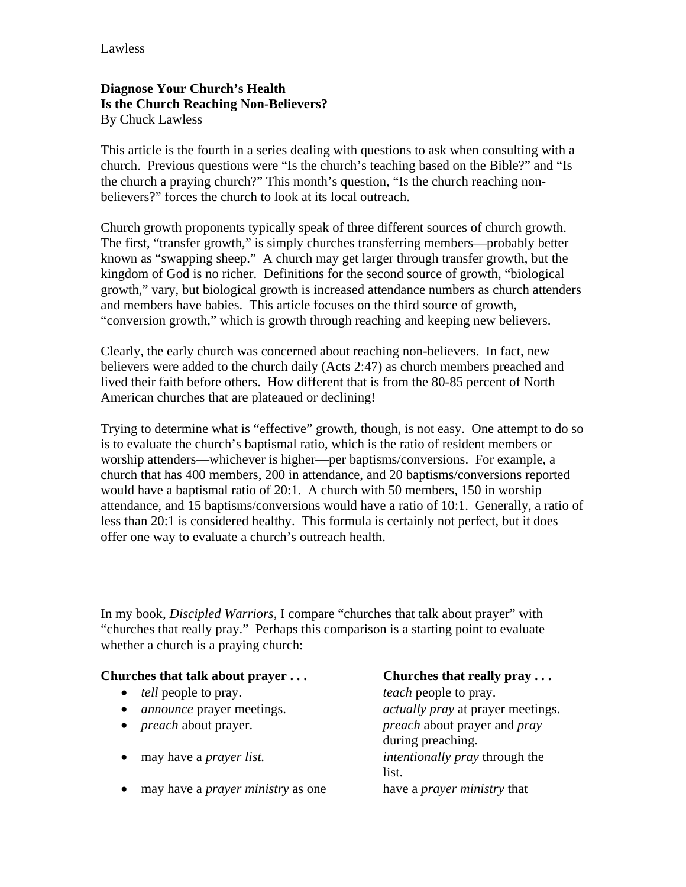## **Diagnose Your Church's Health Is the Church Reaching Non-Believers?**  By Chuck Lawless

This article is the fourth in a series dealing with questions to ask when consulting with a church. Previous questions were "Is the church's teaching based on the Bible?" and "Is the church a praying church?" This month's question, "Is the church reaching nonbelievers?" forces the church to look at its local outreach.

Church growth proponents typically speak of three different sources of church growth. The first, "transfer growth," is simply churches transferring members—probably better known as "swapping sheep." A church may get larger through transfer growth, but the kingdom of God is no richer. Definitions for the second source of growth, "biological growth," vary, but biological growth is increased attendance numbers as church attenders and members have babies. This article focuses on the third source of growth, "conversion growth," which is growth through reaching and keeping new believers.

Clearly, the early church was concerned about reaching non-believers. In fact, new believers were added to the church daily (Acts 2:47) as church members preached and lived their faith before others. How different that is from the 80-85 percent of North American churches that are plateaued or declining!

Trying to determine what is "effective" growth, though, is not easy. One attempt to do so is to evaluate the church's baptismal ratio, which is the ratio of resident members or worship attenders—whichever is higher—per baptisms/conversions. For example, a church that has 400 members, 200 in attendance, and 20 baptisms/conversions reported would have a baptismal ratio of 20:1. A church with 50 members, 150 in worship attendance, and 15 baptisms/conversions would have a ratio of 10:1. Generally, a ratio of less than 20:1 is considered healthy. This formula is certainly not perfect, but it does offer one way to evaluate a church's outreach health.

In my book, *Discipled Warriors*, I compare "churches that talk about prayer" with "churches that really pray." Perhaps this comparison is a starting point to evaluate whether a church is a praying church:

## **Churches that talk about prayer . . . Churches that really pray . . .**

- *tell* people to pray. *teach* people to pray.
- 
- 
- 
- may have a *prayer ministry* as one have a *prayer ministry* that

• *announce* prayer meetings. *actually pray* at prayer meetings. • *preach* about prayer. *preach* about prayer and *pray*  during preaching. • may have a *prayer list. intentionally pray through the* list.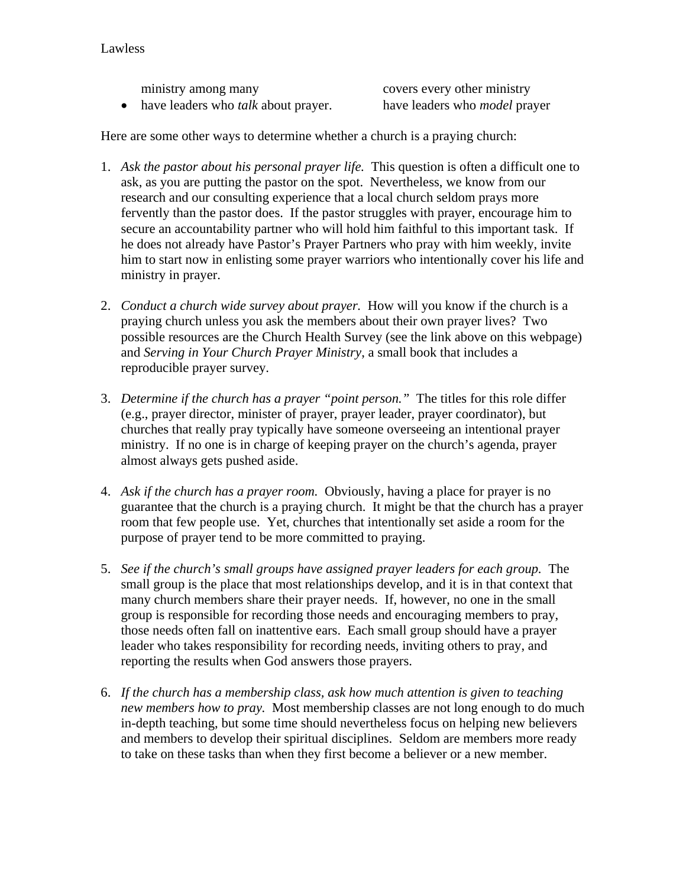ministry among many covers every other ministry • have leaders who *talk* about prayer. have leaders who *model* prayer

Here are some other ways to determine whether a church is a praying church:

- 1. *Ask the pastor about his personal prayer life.* This question is often a difficult one to ask, as you are putting the pastor on the spot. Nevertheless, we know from our research and our consulting experience that a local church seldom prays more fervently than the pastor does. If the pastor struggles with prayer, encourage him to secure an accountability partner who will hold him faithful to this important task. If he does not already have Pastor's Prayer Partners who pray with him weekly, invite him to start now in enlisting some prayer warriors who intentionally cover his life and ministry in prayer.
- 2. *Conduct a church wide survey about prayer.* How will you know if the church is a praying church unless you ask the members about their own prayer lives? Two possible resources are the Church Health Survey (see the link above on this webpage) and *Serving in Your Church Prayer Ministry*, a small book that includes a reproducible prayer survey.
- 3. *Determine if the church has a prayer "point person."* The titles for this role differ (e.g., prayer director, minister of prayer, prayer leader, prayer coordinator), but churches that really pray typically have someone overseeing an intentional prayer ministry. If no one is in charge of keeping prayer on the church's agenda, prayer almost always gets pushed aside.
- 4. *Ask if the church has a prayer room.* Obviously, having a place for prayer is no guarantee that the church is a praying church. It might be that the church has a prayer room that few people use. Yet, churches that intentionally set aside a room for the purpose of prayer tend to be more committed to praying.
- 5. *See if the church's small groups have assigned prayer leaders for each group.* The small group is the place that most relationships develop, and it is in that context that many church members share their prayer needs. If, however, no one in the small group is responsible for recording those needs and encouraging members to pray, those needs often fall on inattentive ears. Each small group should have a prayer leader who takes responsibility for recording needs, inviting others to pray, and reporting the results when God answers those prayers.
- 6. *If the church has a membership class, ask how much attention is given to teaching new members how to pray.* Most membership classes are not long enough to do much in-depth teaching, but some time should nevertheless focus on helping new believers and members to develop their spiritual disciplines. Seldom are members more ready to take on these tasks than when they first become a believer or a new member.